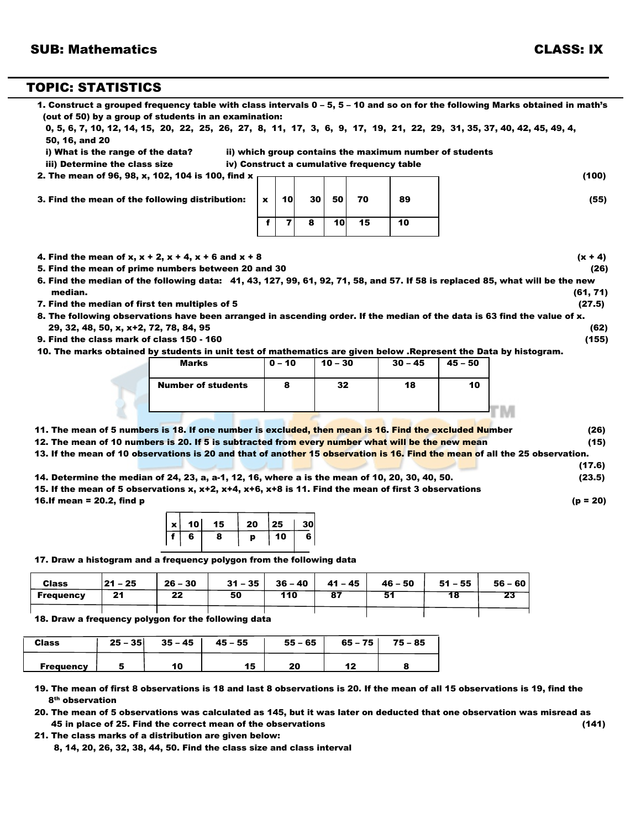## TOPIC: STATISTICS

| iii) Determine the class size                                                                                                                                                                          | i) What is the range of the data? |             |                |    |           |    | ii) which group contains the maximum number of students |         |                  |
|--------------------------------------------------------------------------------------------------------------------------------------------------------------------------------------------------------|-----------------------------------|-------------|----------------|----|-----------|----|---------------------------------------------------------|---------|------------------|
|                                                                                                                                                                                                        |                                   |             |                |    |           |    | iv) Construct a cumulative frequency table              |         |                  |
| 2. The mean of 96, 98, x, 102, 104 is 100, find x                                                                                                                                                      |                                   |             |                |    |           |    |                                                         |         | (100)            |
| 3. Find the mean of the following distribution:                                                                                                                                                        |                                   | $\mathbf x$ | 10             | 30 | 50        | 70 | 89                                                      |         | (55)             |
|                                                                                                                                                                                                        |                                   | f           | $\overline{7}$ | 8  | 10        | 15 | 10                                                      |         |                  |
| 4. Find the mean of x, $x + 2$ , $x + 4$ , $x + 6$ and $x + 8$                                                                                                                                         |                                   |             |                |    |           |    |                                                         |         | $(x + 4)$        |
| 5. Find the mean of prime numbers between 20 and 30                                                                                                                                                    |                                   |             |                |    |           |    |                                                         |         | (26)             |
| 6. Find the median of the following data: 41, 43, 127, 99, 61, 92, 71, 58, and 57. If 58 is replaced 85, what will be the new                                                                          |                                   |             |                |    |           |    |                                                         |         |                  |
| median.                                                                                                                                                                                                |                                   |             |                |    |           |    |                                                         |         | (61, 71)         |
| 7. Find the median of first ten multiples of 5                                                                                                                                                         |                                   |             |                |    |           |    |                                                         |         | (27.5)           |
| 8. The following observations have been arranged in ascending order. If the median of the data is 63 find the value of x.                                                                              |                                   |             |                |    |           |    |                                                         |         |                  |
| 29, 32, 48, 50, x, x+2, 72, 78, 84, 95<br>9. Find the class mark of class 150 - 160                                                                                                                    |                                   |             |                |    |           |    |                                                         |         | (62)<br>(155)    |
| 10. The marks obtained by students in unit test of mathematics are given below . Represent the Data by histogram.                                                                                      |                                   |             |                |    |           |    |                                                         |         |                  |
|                                                                                                                                                                                                        | Marks                             |             | $0 - 10$       |    | $10 - 30$ |    | $30 - 45$                                               | 45 - 50 |                  |
|                                                                                                                                                                                                        | <b>Number of students</b>         |             | 8              |    | 32        |    | 18                                                      | 10      |                  |
|                                                                                                                                                                                                        |                                   |             |                |    |           |    |                                                         |         |                  |
|                                                                                                                                                                                                        |                                   |             |                |    |           |    |                                                         |         |                  |
|                                                                                                                                                                                                        |                                   |             |                |    |           |    |                                                         |         | (26)             |
| 11. The mean of 5 numbers is 18. If one number is excluded, then mean is 16. Find the excluded Number                                                                                                  |                                   |             |                |    |           |    |                                                         |         | (15)             |
| 12. The mean of 10 numbers is 20. If 5 is subtracted from every number what will be the new mean                                                                                                       |                                   |             |                |    |           |    |                                                         |         |                  |
| 13. If the mean of 10 observations is 20 and that of another 15 observation is 16. Find the mean of all the 25 observation.                                                                            |                                   |             |                |    |           |    |                                                         |         |                  |
|                                                                                                                                                                                                        |                                   |             |                |    |           |    |                                                         |         |                  |
| 14. Determine the median of 24, 23, a, a-1, 12, 16, where a is the mean of 10, 20, 30, 40, 50.<br>15. If the mean of 5 observations x, x+2, x+4, x+6, x+8 is 11. Find the mean of first 3 observations |                                   |             |                |    |           |    |                                                         |         | (17.6)<br>(23.5) |

17. Draw a histogram and a frequency polygon from the following data

| <b>Class</b>     | <b>21 - 25</b> | $26 - 30$ | $31 - 35$ | $36 - 40$ | $41 - 45$ | $46 - 50$ | $51 - 55$ | $56 - 60$ |
|------------------|----------------|-----------|-----------|-----------|-----------|-----------|-----------|-----------|
| <b>Frequency</b> | - 24<br>. .    | 22        | 50        | 110       | 87        | 51        | 18        | רפ<br>23  |
|                  |                |           |           |           |           |           |           |           |

18. Draw a frequency polygon for the following data

f | 6 | 8 | p | 10 | 6

| <b>Class</b>     | $25 - 35$ | $35 - 45$ | $45 - 55$ | $55 - 65$ | $65 - 75$ | $75 - 85$ |
|------------------|-----------|-----------|-----------|-----------|-----------|-----------|
| <b>Frequency</b> |           | 10        | 15        | 20        |           |           |

 19. The mean of first 8 observations is 18 and last 8 observations is 20. If the mean of all 15 observations is 19, find the 8th observation

 20. The mean of 5 observations was calculated as 145, but it was later on deducted that one observation was misread as 45 in place of 25. Find the correct mean of the observations (141)

21. The class marks of a distribution are given below:

8, 14, 20, 26, 32, 38, 44, 50. Find the class size and class interval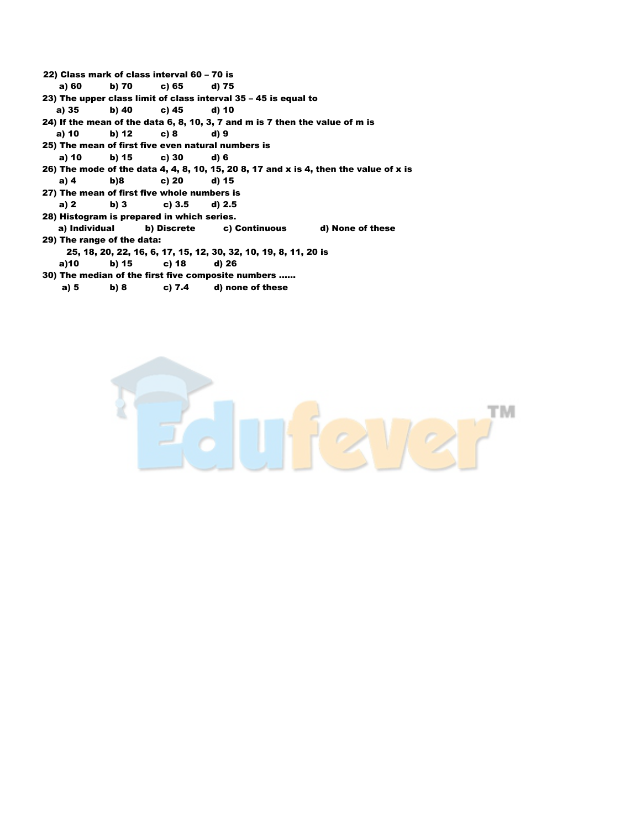- 22) Class mark of class interval 60 70 is a) 60 b) 70 c) 65 d) 75 23) The upper class limit of class interval 35 – 45 is equal to a) 35 b) 40 c) 45 d) 10 24) If the mean of the data 6, 8, 10, 3, 7 and m is 7 then the value of m is a) 10 b) 12 c) 8 d) 9 25) The mean of first five even natural numbers is a) 10 b) 15 c) 30 d) 6 26) The mode of the data 4, 4, 8, 10, 15, 20 8, 17 and x is 4, then the value of x is a) 4 b)8 c) 20 d) 15 27) The mean of first five whole numbers is
- a) 2 b) 3 c) 3.5 d) 2.5
- 28) Histogram is prepared in which series.
- a) Individual b) Discrete c) Continuous d) None of these 29) The range of the data:
- 25, 18, 20, 22, 16, 6, 17, 15, 12, 30, 32, 10, 19, 8, 11, 20 is a)10 b) 15 c) 18 d) 26
- 30) The median of the first five composite numbers …… a) 5 b) 8 c) 7.4 d) none of these

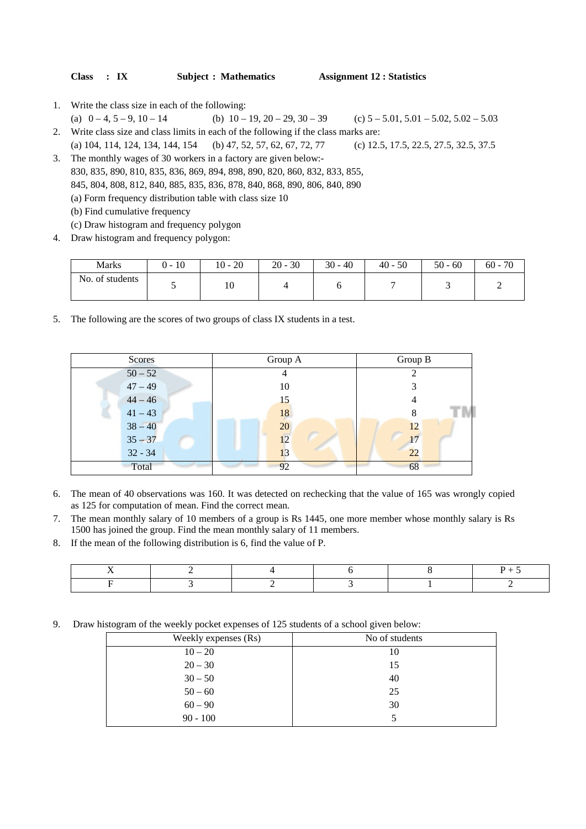| <b>Class</b> | $\cdot$ IX | <b>Subject : Mathematics</b> | <b>Assignment 12 : Statistics</b> |
|--------------|------------|------------------------------|-----------------------------------|
|--------------|------------|------------------------------|-----------------------------------|

- 1. Write the class size in each of the following:
- (a)  $0 4, 5 9, 10 14$  (b)  $10 19, 20 29, 30 39$  (c)  $5 5.01, 5.01 5.02, 5.02 5.03$ 2. Write class size and class limits in each of the following if the class marks are: (a) 104, 114, 124, 134, 144, 154 (b) 47, 52, 57, 62, 67, 72, 77 (c) 12.5, 17.5, 22.5, 27.5, 32.5, 37.5
- 3. The monthly wages of 30 workers in a factory are given below:- 830, 835, 890, 810, 835, 836, 869, 894, 898, 890, 820, 860, 832, 833, 855, 845, 804, 808, 812, 840, 885, 835, 836, 878, 840, 868, 890, 806, 840, 890 (a) Form frequency distribution table with class size 10 (b) Find cumulative frequency (c) Draw histogram and frequency polygon
- 4. Draw histogram and frequency polygon:

| <b>Marks</b>    | 10<br>. | $10 - 20$ | $20 - 30$ | $30 - 40$ | $40 - 50$ | $50 - 60$ | - 70<br>$60 -$ |
|-----------------|---------|-----------|-----------|-----------|-----------|-----------|----------------|
| No. of students |         | 10        |           |           |           |           |                |

5. The following are the scores of two groups of class IX students in a test.

| Scores    | Group A | Group B |
|-----------|---------|---------|
| $50 - 52$ | 4       |         |
| $47 - 49$ | 10      |         |
| $44 - 46$ | 15      |         |
| $41 - 43$ | 18      |         |
| $38 - 40$ | 20      | 12      |
| $35 - 37$ | 12      | 17      |
| $32 - 34$ | 13      | 22      |
| Total     | 92      | 68      |

- 6. The mean of 40 observations was 160. It was detected on rechecking that the value of 165 was wrongly copied as 125 for computation of mean. Find the correct mean.
- 7. The mean monthly salary of 10 members of a group is Rs 1445, one more member whose monthly salary is Rs 1500 has joined the group. Find the mean monthly salary of 11 members.
- 8. If the mean of the following distribution is 6, find the value of P.

9. Draw histogram of the weekly pocket expenses of 125 students of a school given below:

| Weekly expenses (Rs) | No of students |
|----------------------|----------------|
| $10 - 20$            | 10             |
| $20 - 30$            | 15             |
| $30 - 50$            | 40             |
| $50 - 60$            | 25             |
| $60 - 90$            | 30             |
| $90 - 100$           |                |